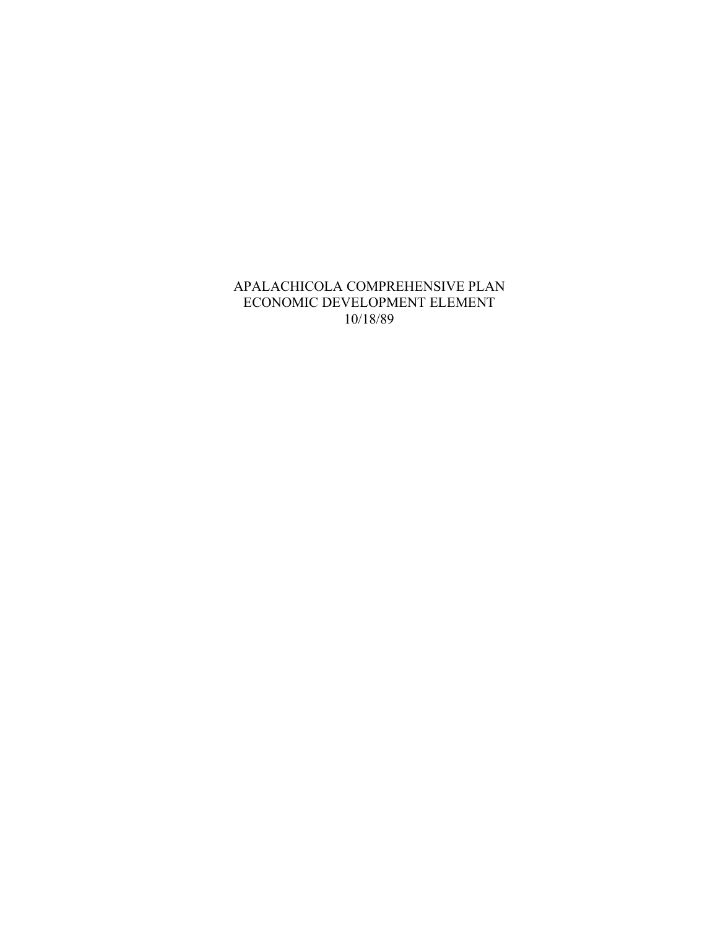## APALACHICOLA COMPREHENSIVE PLAN ECONOMIC DEVELOPMENT ELEMENT 10/18/89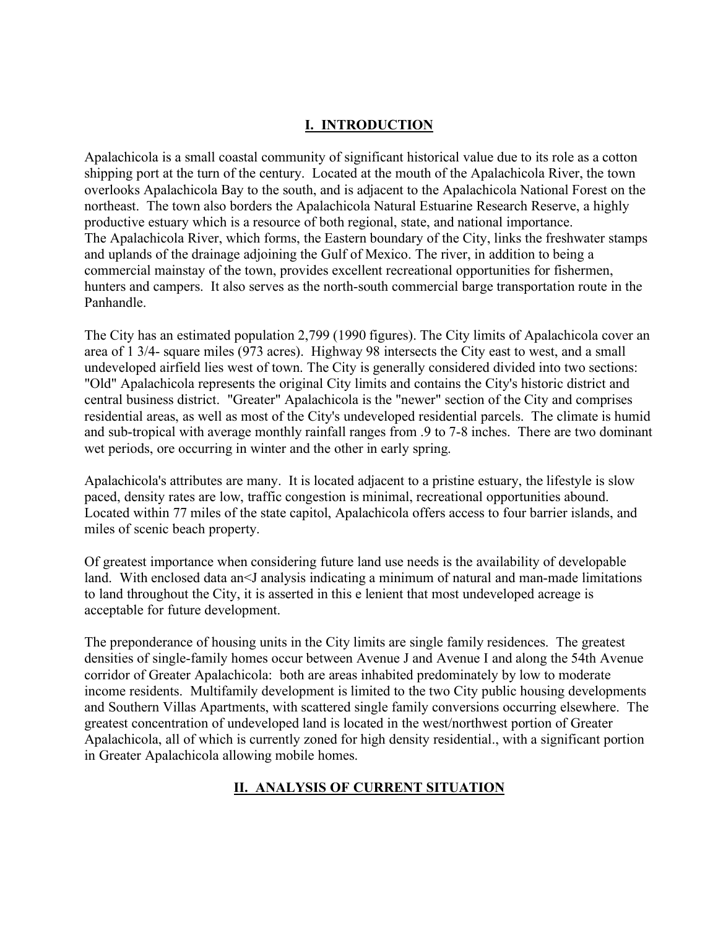# **I. INTRODUCTION**

Apalachicola is a small coastal community of significant historical value due to its role as a cotton shipping port at the turn of the century. Located at the mouth of the Apalachicola River, the town overlooks Apalachicola Bay to the south, and is adjacent to the Apalachicola National Forest on the northeast. The town also borders the Apalachicola Natural Estuarine Research Reserve, a highly productive estuary which is a resource of both regional, state, and national importance. The Apalachicola River, which forms, the Eastern boundary of the City, links the freshwater stamps and uplands of the drainage adjoining the Gulf of Mexico. The river, in addition to being a commercial mainstay of the town, provides excellent recreational opportunities for fishermen, hunters and campers. It also serves as the north-south commercial barge transportation route in the Panhandle.

The City has an estimated population 2,799 (1990 figures). The City limits of Apalachicola cover an area of 1 3/4- square miles (973 acres). Highway 98 intersects the City east to west, and a small undeveloped airfield lies west of town. The City is generally considered divided into two sections: "Old" Apalachicola represents the original City limits and contains the City's historic district and central business district. "Greater" Apalachicola is the "newer" section of the City and comprises residential areas, as well as most of the City's undeveloped residential parcels. The climate is humid and sub-tropical with average monthly rainfall ranges from .9 to 7-8 inches. There are two dominant wet periods, ore occurring in winter and the other in early spring.

Apalachicola's attributes are many. It is located adjacent to a pristine estuary, the lifestyle is slow paced, density rates are low, traffic congestion is minimal, recreational opportunities abound. Located within 77 miles of the state capitol, Apalachicola offers access to four barrier islands, and miles of scenic beach property.

Of greatest importance when considering future land use needs is the availability of developable land. With enclosed data an<J analysis indicating a minimum of natural and man-made limitations to land throughout the City, it is asserted in this e lenient that most undeveloped acreage is acceptable for future development.

The preponderance of housing units in the City limits are single family residences. The greatest densities of single-family homes occur between Avenue J and Avenue I and along the 54th Avenue corridor of Greater Apalachicola: both are areas inhabited predominately by low to moderate income residents. Multifamily development is limited to the two City public housing developments and Southern Villas Apartments, with scattered single family conversions occurring elsewhere. The greatest concentration of undeveloped land is located in the west/northwest portion of Greater Apalachicola, all of which is currently zoned for high density residential., with a significant portion in Greater Apalachicola allowing mobile homes.

# **II. ANALYSIS OF CURRENT SITUATION**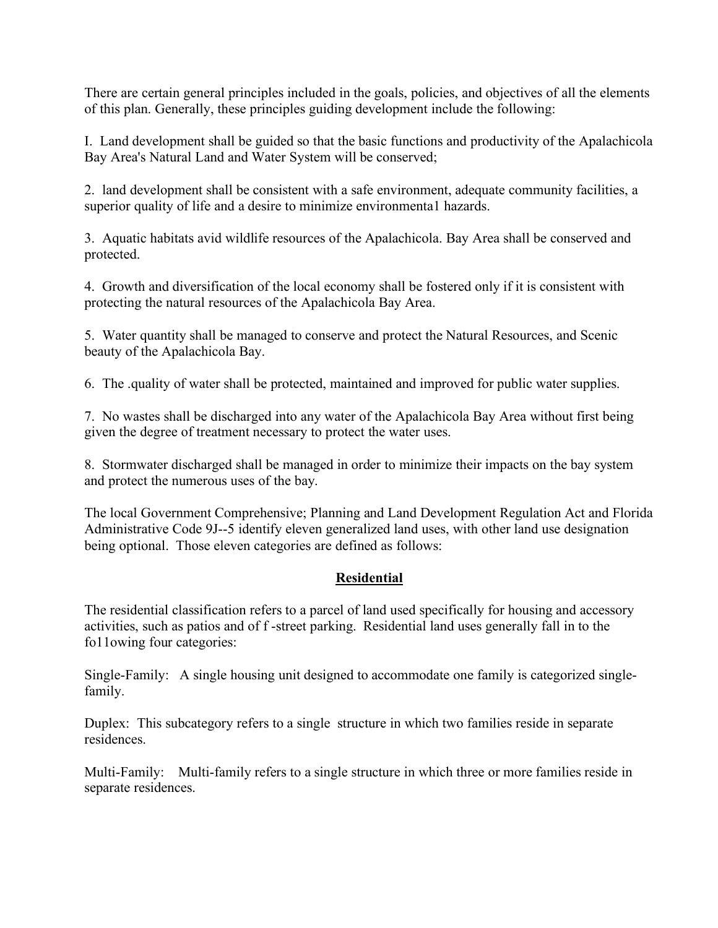There are certain general principles included in the goals, policies, and objectives of all the elements of this plan. Generally, these principles guiding development include the following:

I. Land development shall be guided so that the basic functions and productivity of the Apalachicola Bay Area's Natural Land and Water System will be conserved;

2. land development shall be consistent with a safe environment, adequate community facilities, a superior quality of life and a desire to minimize environmenta1 hazards.

3. Aquatic habitats avid wildlife resources of the Apalachicola. Bay Area shall be conserved and protected.

4. Growth and diversification of the local economy shall be fostered only if it is consistent with protecting the natural resources of the Apalachicola Bay Area.

5. Water quantity shall be managed to conserve and protect the Natural Resources, and Scenic beauty of the Apalachicola Bay.

6. The .quality of water shall be protected, maintained and improved for public water supplies.

7. No wastes shall be discharged into any water of the Apalachicola Bay Area without first being given the degree of treatment necessary to protect the water uses.

8. Stormwater discharged shall be managed in order to minimize their impacts on the bay system and protect the numerous uses of the bay.

The local Government Comprehensive; Planning and Land Development Regulation Act and Florida Administrative Code 9J--5 identify eleven generalized land uses, with other land use designation being optional. Those eleven categories are defined as follows:

### **Residential**

The residential classification refers to a parcel of land used specifically for housing and accessory activities, such as patios and of f -street parking. Residential land uses generally fall in to the fo11owing four categories:

Single-Family: A single housing unit designed to accommodate one family is categorized singlefamily.

Duplex: This subcategory refers to a single structure in which two families reside in separate residences.

Multi-Family: Multi-family refers to a single structure in which three or more families reside in separate residences.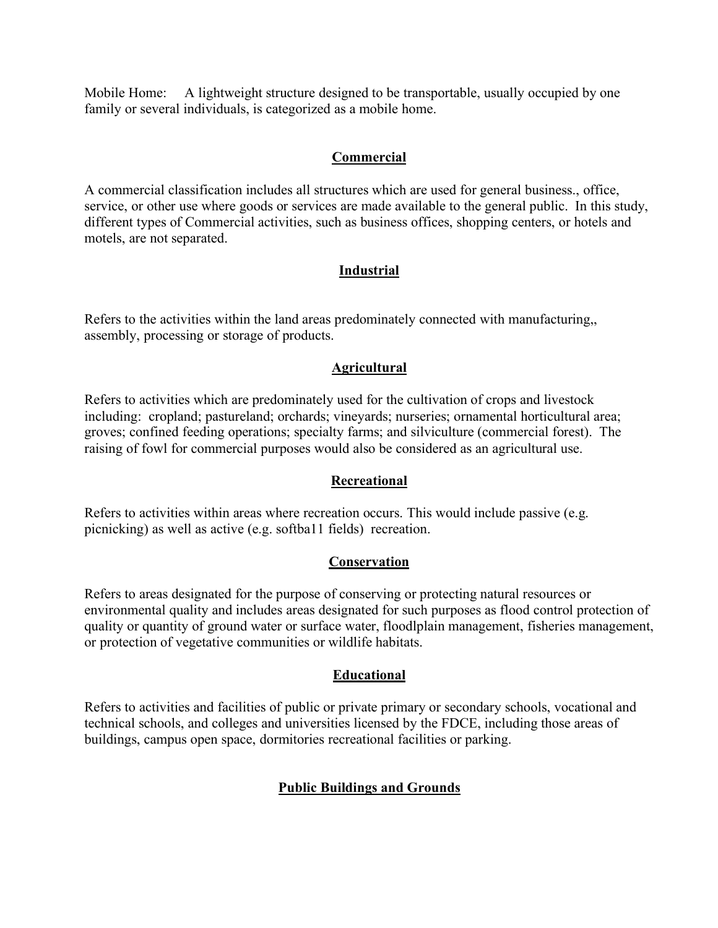Mobile Home: A lightweight structure designed to be transportable, usually occupied by one family or several individuals, is categorized as a mobile home.

#### **Commercial**

A commercial classification includes all structures which are used for general business., office, service, or other use where goods or services are made available to the general public. In this study, different types of Commercial activities, such as business offices, shopping centers, or hotels and motels, are not separated.

### **Industrial**

Refers to the activities within the land areas predominately connected with manufacturing,, assembly, processing or storage of products.

### **Agricultural**

Refers to activities which are predominately used for the cultivation of crops and livestock including: cropland; pastureland; orchards; vineyards; nurseries; ornamental horticultural area; groves; confined feeding operations; specialty farms; and silviculture (commercial forest). The raising of fowl for commercial purposes would also be considered as an agricultural use.

### **Recreational**

Refers to activities within areas where recreation occurs. This would include passive (e.g. picnicking) as well as active (e.g. softba11 fields) recreation.

### **Conservation**

Refers to areas designated for the purpose of conserving or protecting natural resources or environmental quality and includes areas designated for such purposes as flood control protection of quality or quantity of ground water or surface water, floodlplain management, fisheries management, or protection of vegetative communities or wildlife habitats.

### **Educational**

Refers to activities and facilities of public or private primary or secondary schools, vocational and technical schools, and colleges and universities licensed by the FDCE, including those areas of buildings, campus open space, dormitories recreational facilities or parking.

### **Public Buildings and Grounds**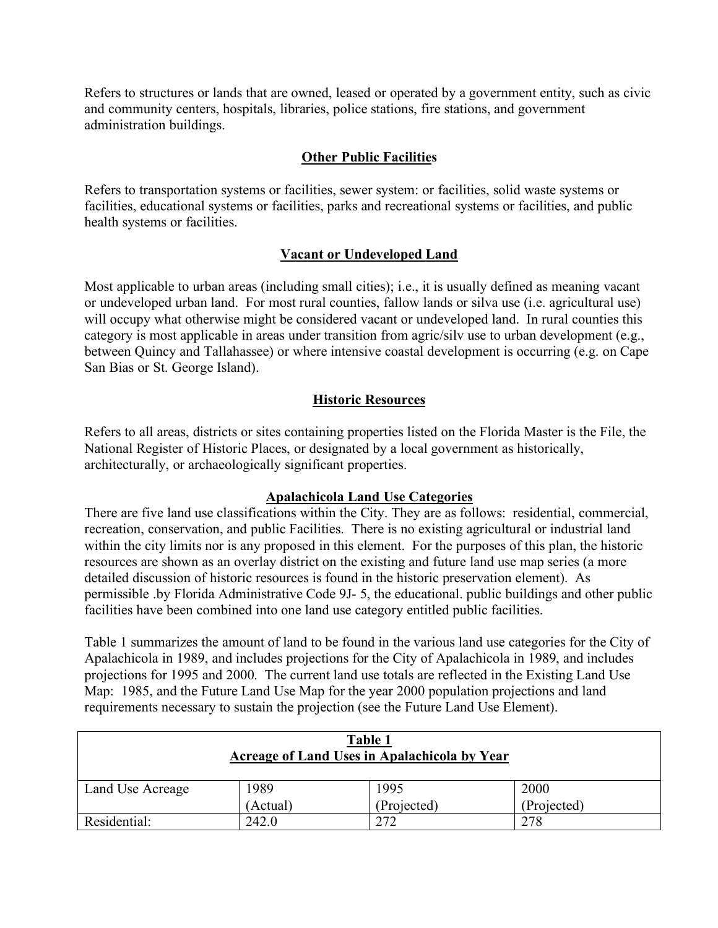Refers to structures or lands that are owned, leased or operated by a government entity, such as civic and community centers, hospitals, libraries, police stations, fire stations, and government administration buildings.

### **Other Public Facilities**

Refers to transportation systems or facilities, sewer system: or facilities, solid waste systems or facilities, educational systems or facilities, parks and recreational systems or facilities, and public health systems or facilities.

### **Vacant or Undeveloped Land**

Most applicable to urban areas (including small cities); i.e., it is usually defined as meaning vacant or undeveloped urban land. For most rural counties, fallow lands or silva use (i.e. agricultural use) will occupy what otherwise might be considered vacant or undeveloped land. In rural counties this category is most applicable in areas under transition from agric/silv use to urban development (e.g., between Quincy and Tallahassee) or where intensive coastal development is occurring (e.g. on Cape San Bias or St. George Island).

### **Historic Resources**

Refers to all areas, districts or sites containing properties listed on the Florida Master is the File, the National Register of Historic Places, or designated by a local government as historically, architecturally, or archaeologically significant properties.

#### **Apalachicola Land Use Categories**

There are five land use classifications within the City. They are as follows: residential, commercial, recreation, conservation, and public Facilities. There is no existing agricultural or industrial land within the city limits nor is any proposed in this element. For the purposes of this plan, the historic resources are shown as an overlay district on the existing and future land use map series (a more detailed discussion of historic resources is found in the historic preservation element). As permissible .by Florida Administrative Code 9J- 5, the educational. public buildings and other public facilities have been combined into one land use category entitled public facilities.

Table 1 summarizes the amount of land to be found in the various land use categories for the City of Apalachicola in 1989, and includes projections for the City of Apalachicola in 1989, and includes projections for 1995 and 2000. The current land use totals are reflected in the Existing Land Use Map: 1985, and the Future Land Use Map for the year 2000 population projections and land requirements necessary to sustain the projection (see the Future Land Use Element).

| Table 1<br>Acreage of Land Uses in Apalachicola by Year |          |             |             |
|---------------------------------------------------------|----------|-------------|-------------|
| Land Use Acreage                                        | 1989     | 1995        | 2000        |
|                                                         | (Actual) | (Projected) | (Projected) |
| Residential:                                            | 242.0    | 272         | 278         |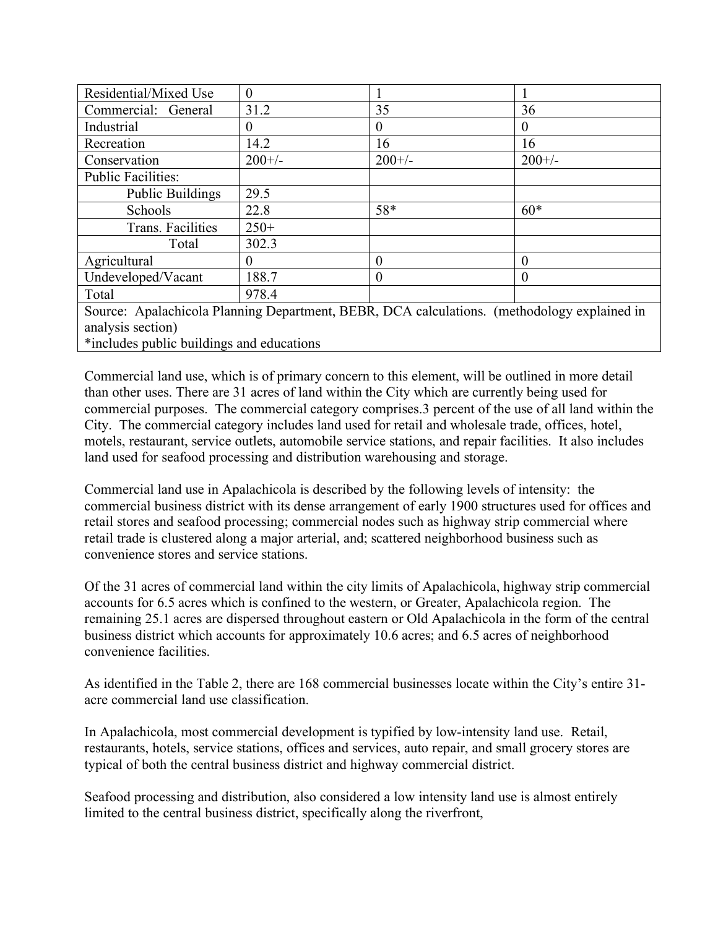| Residential/Mixed Use                                                                       | $\theta$ |                |          |  |
|---------------------------------------------------------------------------------------------|----------|----------------|----------|--|
| Commercial: General                                                                         | 31.2     | 35             | 36       |  |
| Industrial                                                                                  | $_{0}$   | $\overline{0}$ | $\theta$ |  |
| Recreation                                                                                  | 14.2     | 16             | 16       |  |
| Conservation                                                                                | $200+/-$ | $200+/-$       | $200+/-$ |  |
| <b>Public Facilities:</b>                                                                   |          |                |          |  |
| <b>Public Buildings</b>                                                                     | 29.5     |                |          |  |
| Schools                                                                                     | 22.8     | 58*            | $60*$    |  |
| Trans. Facilities                                                                           | $250+$   |                |          |  |
| Total                                                                                       | 302.3    |                |          |  |
| Agricultural                                                                                | 0        | $\theta$       | $\theta$ |  |
| Undeveloped/Vacant                                                                          | 188.7    | $\theta$       | $\Omega$ |  |
| Total                                                                                       | 978.4    |                |          |  |
| Source: Apalachicola Planning Department, BEBR, DCA calculations. (methodology explained in |          |                |          |  |
| analysis section)                                                                           |          |                |          |  |
| *includes public buildings and educations                                                   |          |                |          |  |

Commercial land use, which is of primary concern to this element, will be outlined in more detail than other uses. There are 31 acres of land within the City which are currently being used for commercial purposes. The commercial category comprises.3 percent of the use of all land within the City. The commercial category includes land used for retail and wholesale trade, offices, hotel, motels, restaurant, service outlets, automobile service stations, and repair facilities. It also includes land used for seafood processing and distribution warehousing and storage.

Commercial land use in Apalachicola is described by the following levels of intensity: the commercial business district with its dense arrangement of early 1900 structures used for offices and retail stores and seafood processing; commercial nodes such as highway strip commercial where retail trade is clustered along a major arterial, and; scattered neighborhood business such as convenience stores and service stations.

Of the 31 acres of commercial land within the city limits of Apalachicola, highway strip commercial accounts for 6.5 acres which is confined to the western, or Greater, Apalachicola region. The remaining 25.1 acres are dispersed throughout eastern or Old Apalachicola in the form of the central business district which accounts for approximately 10.6 acres; and 6.5 acres of neighborhood convenience facilities.

As identified in the Table 2, there are 168 commercial businesses locate within the City's entire 31 acre commercial land use classification.

In Apalachicola, most commercial development is typified by low-intensity land use. Retail, restaurants, hotels, service stations, offices and services, auto repair, and small grocery stores are typical of both the central business district and highway commercial district.

Seafood processing and distribution, also considered a low intensity land use is almost entirely limited to the central business district, specifically along the riverfront,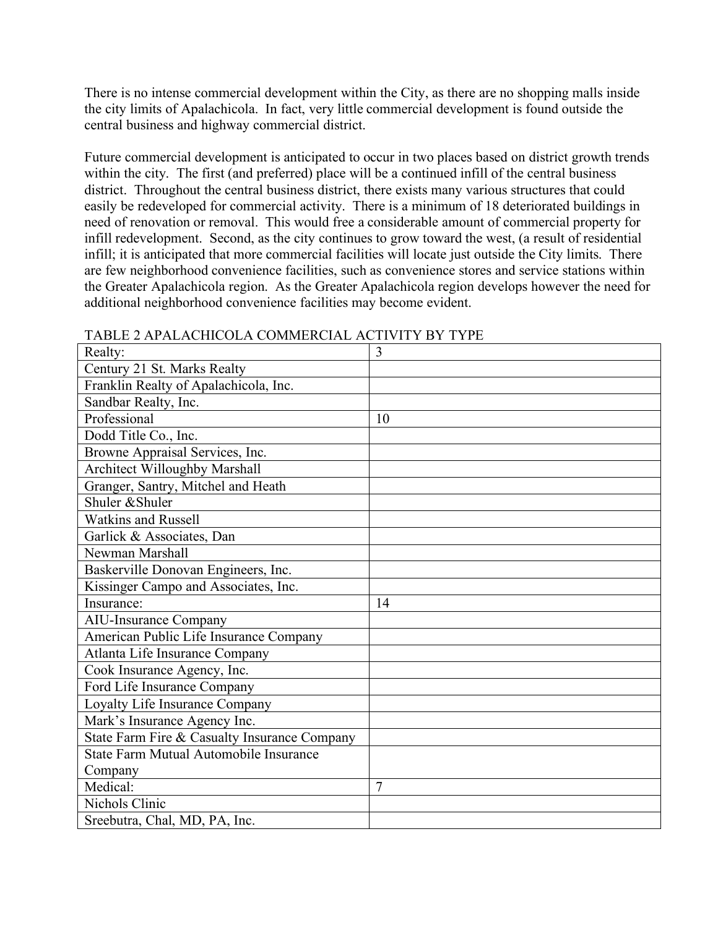There is no intense commercial development within the City, as there are no shopping malls inside the city limits of Apalachicola. In fact, very little commercial development is found outside the central business and highway commercial district.

Future commercial development is anticipated to occur in two places based on district growth trends within the city. The first (and preferred) place will be a continued infill of the central business district. Throughout the central business district, there exists many various structures that could easily be redeveloped for commercial activity. There is a minimum of 18 deteriorated buildings in need of renovation or removal. This would free a considerable amount of commercial property for infill redevelopment. Second, as the city continues to grow toward the west, (a result of residential infill; it is anticipated that more commercial facilities will locate just outside the City limits. There are few neighborhood convenience facilities, such as convenience stores and service stations within the Greater Apalachicola region. As the Greater Apalachicola region develops however the need for additional neighborhood convenience facilities may become evident.

| Realty:                                      | 3              |
|----------------------------------------------|----------------|
| Century 21 St. Marks Realty                  |                |
| Franklin Realty of Apalachicola, Inc.        |                |
| Sandbar Realty, Inc.                         |                |
| Professional                                 | 10             |
| Dodd Title Co., Inc.                         |                |
| Browne Appraisal Services, Inc.              |                |
| <b>Architect Willoughby Marshall</b>         |                |
| Granger, Santry, Mitchel and Heath           |                |
| Shuler & Shuler                              |                |
| <b>Watkins and Russell</b>                   |                |
| Garlick & Associates, Dan                    |                |
| Newman Marshall                              |                |
| Baskerville Donovan Engineers, Inc.          |                |
| Kissinger Campo and Associates, Inc.         |                |
| Insurance:                                   | 14             |
| <b>AIU-Insurance Company</b>                 |                |
| American Public Life Insurance Company       |                |
| Atlanta Life Insurance Company               |                |
| Cook Insurance Agency, Inc.                  |                |
| Ford Life Insurance Company                  |                |
| Loyalty Life Insurance Company               |                |
| Mark's Insurance Agency Inc.                 |                |
| State Farm Fire & Casualty Insurance Company |                |
| State Farm Mutual Automobile Insurance       |                |
| Company                                      |                |
| Medical:                                     | $\overline{7}$ |
| Nichols Clinic                               |                |
| Sreebutra, Chal, MD, PA, Inc.                |                |

#### TABLE 2 APALACHICOLA COMMERCIAL ACTIVITY BY TYPE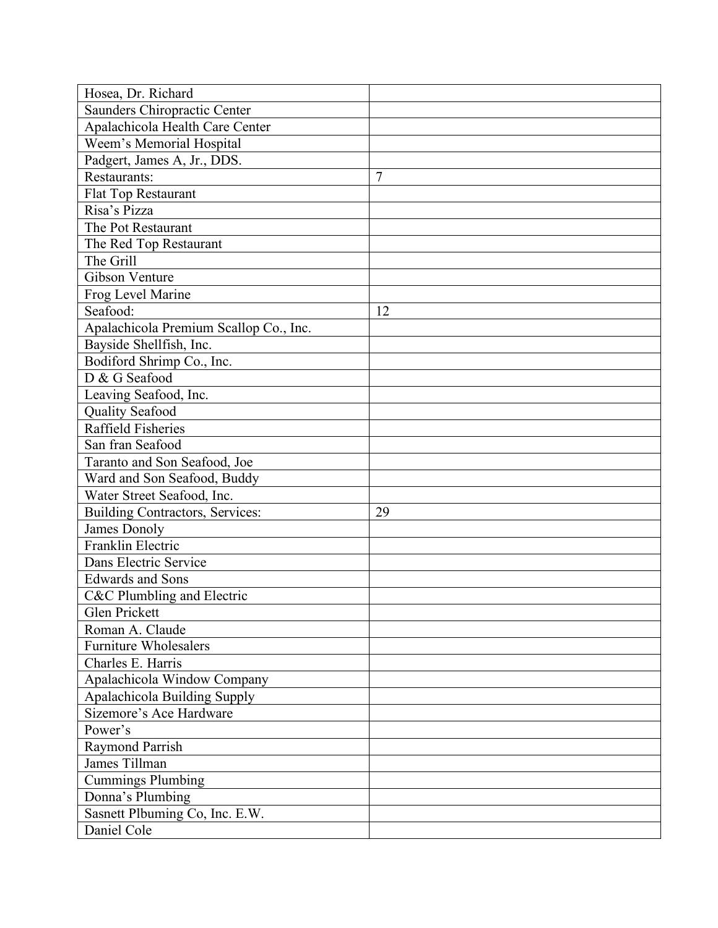| Hosea, Dr. Richard                     |                |
|----------------------------------------|----------------|
| Saunders Chiropractic Center           |                |
| Apalachicola Health Care Center        |                |
| Weem's Memorial Hospital               |                |
| Padgert, James A, Jr., DDS.            |                |
| Restaurants:                           | $\overline{7}$ |
| Flat Top Restaurant                    |                |
| Risa's Pizza                           |                |
| The Pot Restaurant                     |                |
| The Red Top Restaurant                 |                |
| The Grill                              |                |
| Gibson Venture                         |                |
| Frog Level Marine                      |                |
| Seafood:                               | 12             |
| Apalachicola Premium Scallop Co., Inc. |                |
| Bayside Shellfish, Inc.                |                |
| Bodiford Shrimp Co., Inc.              |                |
| D & G Seafood                          |                |
| Leaving Seafood, Inc.                  |                |
| <b>Quality Seafood</b>                 |                |
| Raffield Fisheries                     |                |
| San fran Seafood                       |                |
| Taranto and Son Seafood, Joe           |                |
| Ward and Son Seafood, Buddy            |                |
| Water Street Seafood, Inc.             |                |
| Building Contractors, Services:        | 29             |
| James Donoly                           |                |
| Franklin Electric                      |                |
| Dans Electric Service                  |                |
| <b>Edwards and Sons</b>                |                |
| C&C Plumbling and Electric             |                |
| Glen Prickett                          |                |
| Roman A. Claude                        |                |
| <b>Furniture Wholesalers</b>           |                |
| Charles E. Harris                      |                |
| Apalachicola Window Company            |                |
| Apalachicola Building Supply           |                |
| Sizemore's Ace Hardware                |                |
| Power's                                |                |
| Raymond Parrish                        |                |
| James Tillman                          |                |
| <b>Cummings Plumbing</b>               |                |
| Donna's Plumbing                       |                |
| Sasnett Plbuming Co, Inc. E.W.         |                |
| Daniel Cole                            |                |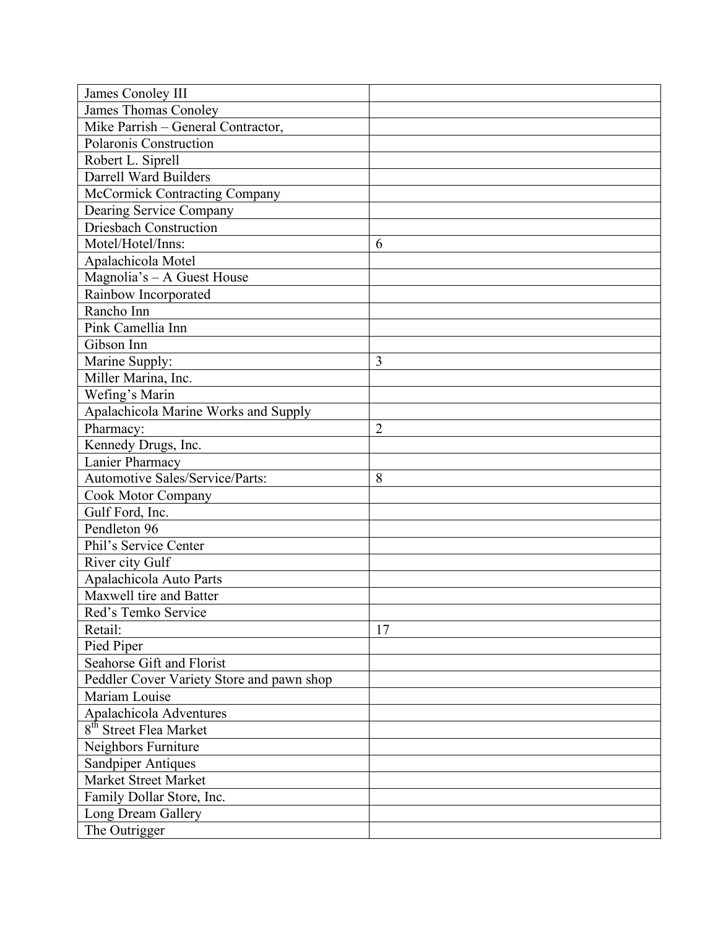| James Conoley III                         |                |
|-------------------------------------------|----------------|
| James Thomas Conoley                      |                |
| Mike Parrish - General Contractor,        |                |
| Polaronis Construction                    |                |
| Robert L. Siprell                         |                |
| Darrell Ward Builders                     |                |
| McCormick Contracting Company             |                |
| Dearing Service Company                   |                |
| <b>Driesbach Construction</b>             |                |
| Motel/Hotel/Inns:                         | 6              |
| Apalachicola Motel                        |                |
| Magnolia's - A Guest House                |                |
| Rainbow Incorporated                      |                |
| Rancho Inn                                |                |
| Pink Camellia Inn                         |                |
| Gibson Inn                                |                |
| Marine Supply:                            | 3              |
| Miller Marina, Inc.                       |                |
| Wefing's Marin                            |                |
| Apalachicola Marine Works and Supply      |                |
| Pharmacy:                                 | $\overline{2}$ |
| Kennedy Drugs, Inc.                       |                |
| Lanier Pharmacy                           |                |
| Automotive Sales/Service/Parts:           | 8              |
| Cook Motor Company                        |                |
| Gulf Ford, Inc.                           |                |
| Pendleton 96                              |                |
| Phil's Service Center                     |                |
| River city Gulf                           |                |
| Apalachicola Auto Parts                   |                |
| Maxwell tire and Batter                   |                |
| Red's Temko Service                       |                |
| Retail:                                   | 17             |
| Pied Piper                                |                |
| Seahorse Gift and Florist                 |                |
| Peddler Cover Variety Store and pawn shop |                |
| Mariam Louise                             |                |
| Apalachicola Adventures                   |                |
| 8 <sup>th</sup> Street Flea Market        |                |
| Neighbors Furniture                       |                |
| <b>Sandpiper Antiques</b>                 |                |
| Market Street Market                      |                |
| Family Dollar Store, Inc.                 |                |
| Long Dream Gallery                        |                |
| The Outrigger                             |                |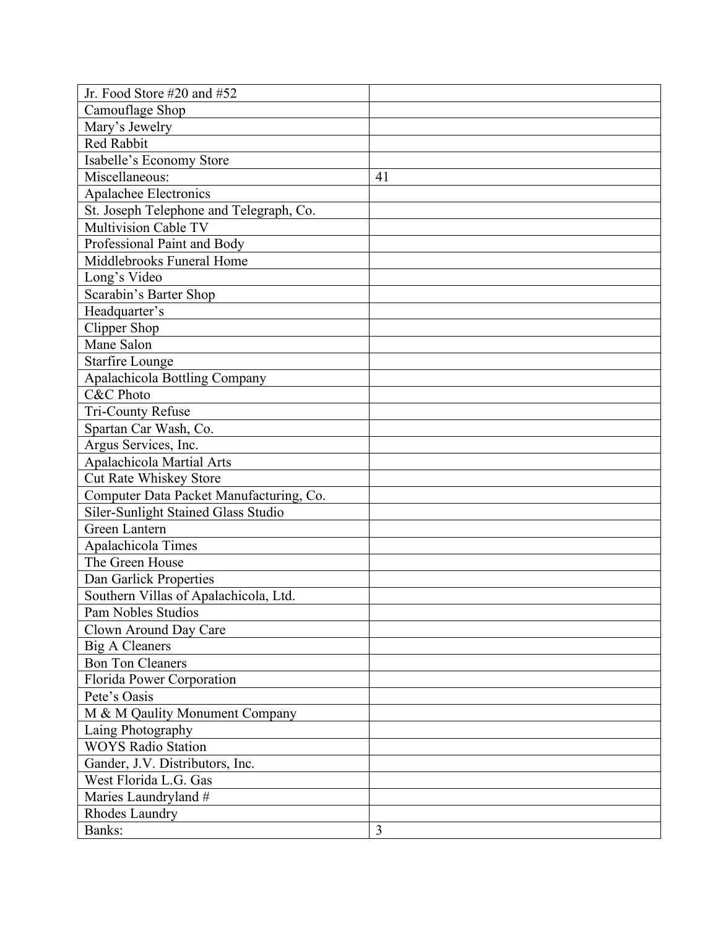| Jr. Food Store #20 and #52              |    |
|-----------------------------------------|----|
| Camouflage Shop                         |    |
| Mary's Jewelry                          |    |
| Red Rabbit                              |    |
| Isabelle's Economy Store                |    |
| Miscellaneous:                          | 41 |
| Apalachee Electronics                   |    |
| St. Joseph Telephone and Telegraph, Co. |    |
| Multivision Cable TV                    |    |
| Professional Paint and Body             |    |
| Middlebrooks Funeral Home               |    |
| Long's Video                            |    |
| Scarabin's Barter Shop                  |    |
| Headquarter's                           |    |
| Clipper Shop                            |    |
| Mane Salon                              |    |
| <b>Starfire Lounge</b>                  |    |
| <b>Apalachicola Bottling Company</b>    |    |
| <b>C&amp;C</b> Photo                    |    |
| Tri-County Refuse                       |    |
| Spartan Car Wash, Co.                   |    |
| Argus Services, Inc.                    |    |
| Apalachicola Martial Arts               |    |
| Cut Rate Whiskey Store                  |    |
| Computer Data Packet Manufacturing, Co. |    |
| Siler-Sunlight Stained Glass Studio     |    |
| <b>Green Lantern</b>                    |    |
| Apalachicola Times                      |    |
| The Green House                         |    |
| Dan Garlick Properties                  |    |
| Southern Villas of Apalachicola, Ltd.   |    |
| <b>Pam Nobles Studios</b>               |    |
| Clown Around Day Care                   |    |
| <b>Big A Cleaners</b>                   |    |
| <b>Bon Ton Cleaners</b>                 |    |
| Florida Power Corporation               |    |
| Pete's Oasis                            |    |
| M & M Qaulity Monument Company          |    |
| Laing Photography                       |    |
| <b>WOYS Radio Station</b>               |    |
| Gander, J.V. Distributors, Inc.         |    |
| West Florida L.G. Gas                   |    |
| Maries Laundryland #                    |    |
| Rhodes Laundry                          |    |
| Banks:                                  | 3  |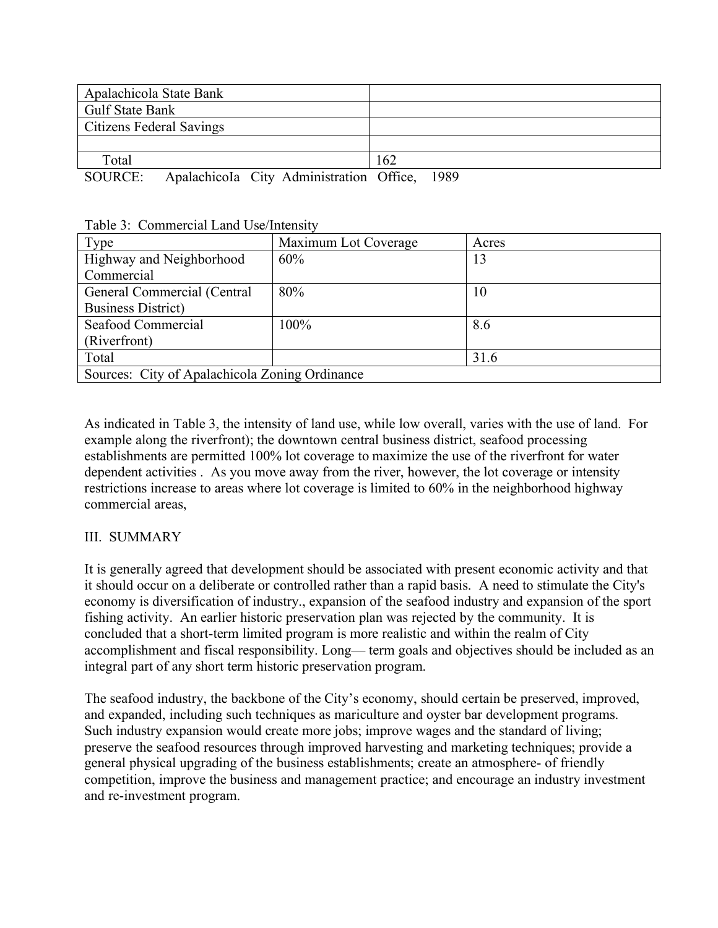| Apalachicola State Bank         |  |                                          |     |      |
|---------------------------------|--|------------------------------------------|-----|------|
| <b>Gulf State Bank</b>          |  |                                          |     |      |
| <b>Citizens Federal Savings</b> |  |                                          |     |      |
|                                 |  |                                          |     |      |
| Total                           |  |                                          | 162 |      |
| SOURCE:                         |  | Apalachicola City Administration Office, |     | 1989 |

|  |  | Table 3: Commercial Land Use/Intensity |  |  |  |
|--|--|----------------------------------------|--|--|--|
|--|--|----------------------------------------|--|--|--|

| Type                                           | Maximum Lot Coverage | Acres |  |
|------------------------------------------------|----------------------|-------|--|
| Highway and Neighborhood                       | 60%                  | 13    |  |
| Commercial                                     |                      |       |  |
| General Commercial (Central                    | 80%                  | 10    |  |
| <b>Business District</b> )                     |                      |       |  |
| Seafood Commercial                             | 100%                 | 8.6   |  |
| (Riverfront)                                   |                      |       |  |
| Total                                          |                      | 31.6  |  |
| Sources: City of Apalachicola Zoning Ordinance |                      |       |  |

As indicated in Table 3, the intensity of land use, while low overall, varies with the use of land. For example along the riverfront); the downtown central business district, seafood processing establishments are permitted 100% lot coverage to maximize the use of the riverfront for water dependent activities . As you move away from the river, however, the lot coverage or intensity restrictions increase to areas where lot coverage is limited to 60% in the neighborhood highway commercial areas,

### III. SUMMARY

It is generally agreed that development should be associated with present economic activity and that it should occur on a deliberate or controlled rather than a rapid basis. A need to stimulate the City's economy is diversification of industry., expansion of the seafood industry and expansion of the sport fishing activity. An earlier historic preservation plan was rejected by the community. It is concluded that a short-term limited program is more realistic and within the realm of City accomplishment and fiscal responsibility. Long— term goals and objectives should be included as an integral part of any short term historic preservation program.

The seafood industry, the backbone of the City's economy, should certain be preserved, improved, and expanded, including such techniques as mariculture and oyster bar development programs. Such industry expansion would create more jobs; improve wages and the standard of living; preserve the seafood resources through improved harvesting and marketing techniques; provide a general physical upgrading of the business establishments; create an atmosphere- of friendly competition, improve the business and management practice; and encourage an industry investment and re-investment program.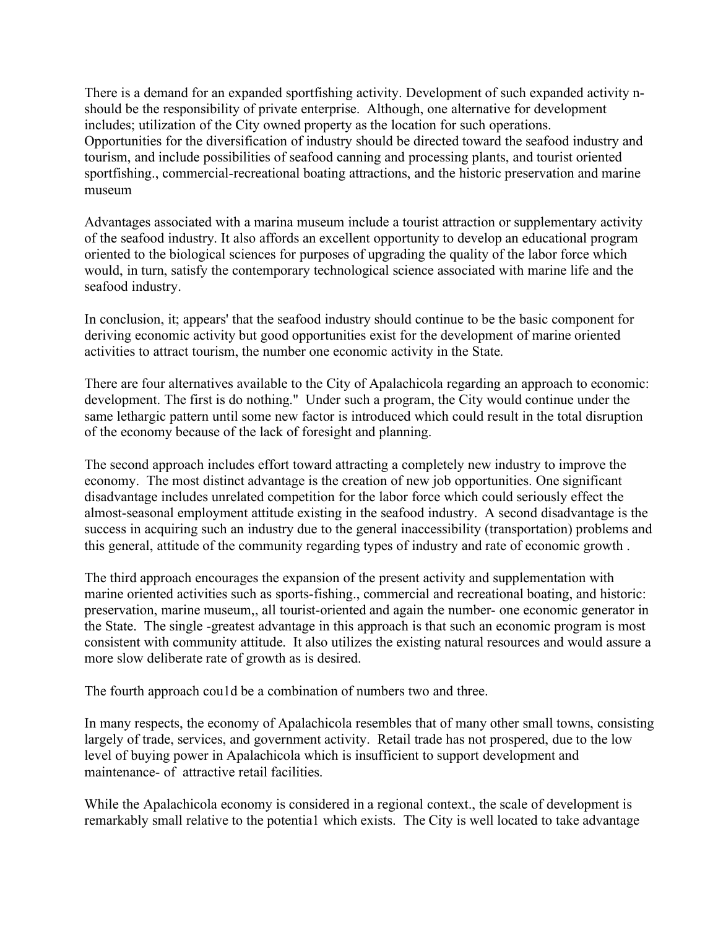There is a demand for an expanded sportfishing activity. Development of such expanded activity nshould be the responsibility of private enterprise. Although, one alternative for development includes; utilization of the City owned property as the location for such operations. Opportunities for the diversification of industry should be directed toward the seafood industry and tourism, and include possibilities of seafood canning and processing plants, and tourist oriented sportfishing., commercial-recreational boating attractions, and the historic preservation and marine museum

Advantages associated with a marina museum include a tourist attraction or supplementary activity of the seafood industry. It also affords an excellent opportunity to develop an educational program oriented to the biological sciences for purposes of upgrading the quality of the labor force which would, in turn, satisfy the contemporary technological science associated with marine life and the seafood industry.

In conclusion, it; appears' that the seafood industry should continue to be the basic component for deriving economic activity but good opportunities exist for the development of marine oriented activities to attract tourism, the number one economic activity in the State.

There are four alternatives available to the City of Apalachicola regarding an approach to economic: development. The first is do nothing." Under such a program, the City would continue under the same lethargic pattern until some new factor is introduced which could result in the total disruption of the economy because of the lack of foresight and planning.

The second approach includes effort toward attracting a completely new industry to improve the economy. The most distinct advantage is the creation of new job opportunities. One significant disadvantage includes unrelated competition for the labor force which could seriously effect the almost-seasonal employment attitude existing in the seafood industry. A second disadvantage is the success in acquiring such an industry due to the general inaccessibility (transportation) problems and this general, attitude of the community regarding types of industry and rate of economic growth .

The third approach encourages the expansion of the present activity and supplementation with marine oriented activities such as sports-fishing., commercial and recreational boating, and historic: preservation, marine museum,, all tourist-oriented and again the number- one economic generator in the State. The single -greatest advantage in this approach is that such an economic program is most consistent with community attitude. It also utilizes the existing natural resources and would assure a more slow deliberate rate of growth as is desired.

The fourth approach cou1d be a combination of numbers two and three.

In many respects, the economy of Apalachicola resembles that of many other small towns, consisting largely of trade, services, and government activity. Retail trade has not prospered, due to the low level of buying power in Apalachicola which is insufficient to support development and maintenance- of attractive retail facilities.

While the Apalachicola economy is considered in a regional context., the scale of development is remarkably small relative to the potentia1 which exists. The City is well located to take advantage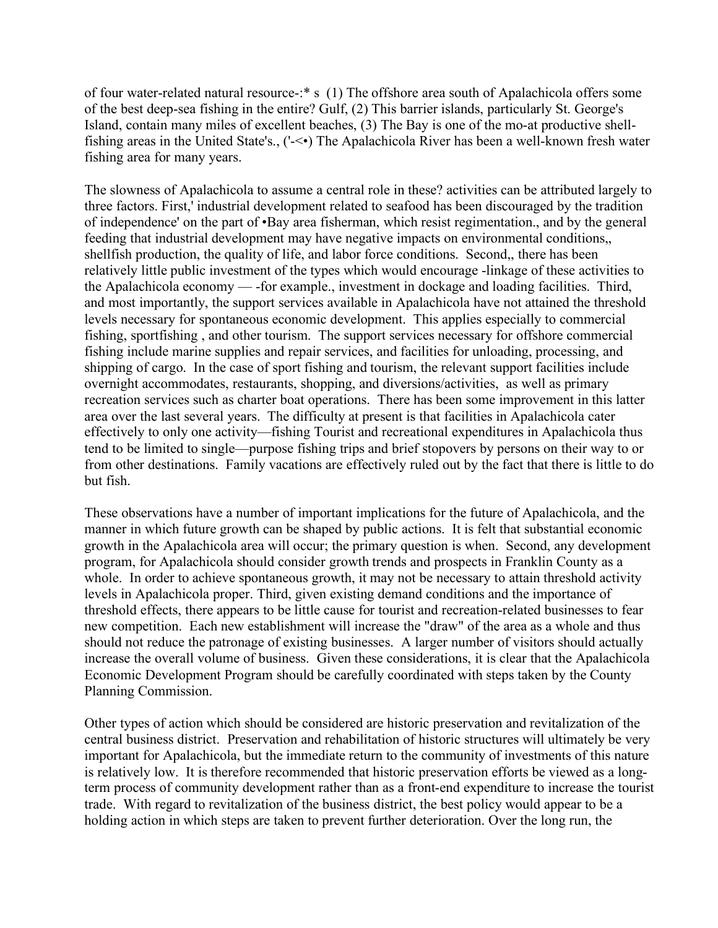of four water-related natural resource-:\* s (1) The offshore area south of Apalachicola offers some of the best deep-sea fishing in the entire? Gulf, (2) This barrier islands, particularly St. George's Island, contain many miles of excellent beaches, (3) The Bay is one of the mo-at productive shellfishing areas in the United State's., ('-<•) The Apalachicola River has been a well-known fresh water fishing area for many years.

The slowness of Apalachicola to assume a central role in these? activities can be attributed largely to three factors. First,' industrial development related to seafood has been discouraged by the tradition of independence' on the part of •Bay area fisherman, which resist regimentation., and by the general feeding that industrial development may have negative impacts on environmental conditions,, shellfish production, the quality of life, and labor force conditions. Second,, there has been relatively little public investment of the types which would encourage -linkage of these activities to the Apalachicola economy — -for example., investment in dockage and loading facilities. Third, and most importantly, the support services available in Apalachicola have not attained the threshold levels necessary for spontaneous economic development. This applies especially to commercial fishing, sportfishing , and other tourism. The support services necessary for offshore commercial fishing include marine supplies and repair services, and facilities for unloading, processing, and shipping of cargo. In the case of sport fishing and tourism, the relevant support facilities include overnight accommodates, restaurants, shopping, and diversions/activities, as well as primary recreation services such as charter boat operations. There has been some improvement in this latter area over the last several years. The difficulty at present is that facilities in Apalachicola cater effectively to only one activity—fishing Tourist and recreational expenditures in Apalachicola thus tend to be limited to single—purpose fishing trips and brief stopovers by persons on their way to or from other destinations. Family vacations are effectively ruled out by the fact that there is little to do but fish.

These observations have a number of important implications for the future of Apalachicola, and the manner in which future growth can be shaped by public actions. It is felt that substantial economic growth in the Apalachicola area will occur; the primary question is when. Second, any development program, for Apalachicola should consider growth trends and prospects in Franklin County as a whole. In order to achieve spontaneous growth, it may not be necessary to attain threshold activity levels in Apalachicola proper. Third, given existing demand conditions and the importance of threshold effects, there appears to be little cause for tourist and recreation-related businesses to fear new competition. Each new establishment will increase the "draw" of the area as a whole and thus should not reduce the patronage of existing businesses. A larger number of visitors should actually increase the overall volume of business. Given these considerations, it is clear that the Apalachicola Economic Development Program should be carefully coordinated with steps taken by the County Planning Commission.

Other types of action which should be considered are historic preservation and revitalization of the central business district. Preservation and rehabilitation of historic structures will ultimately be very important for Apalachicola, but the immediate return to the community of investments of this nature is relatively low. It is therefore recommended that historic preservation efforts be viewed as a longterm process of community development rather than as a front-end expenditure to increase the tourist trade. With regard to revitalization of the business district, the best policy would appear to be a holding action in which steps are taken to prevent further deterioration. Over the long run, the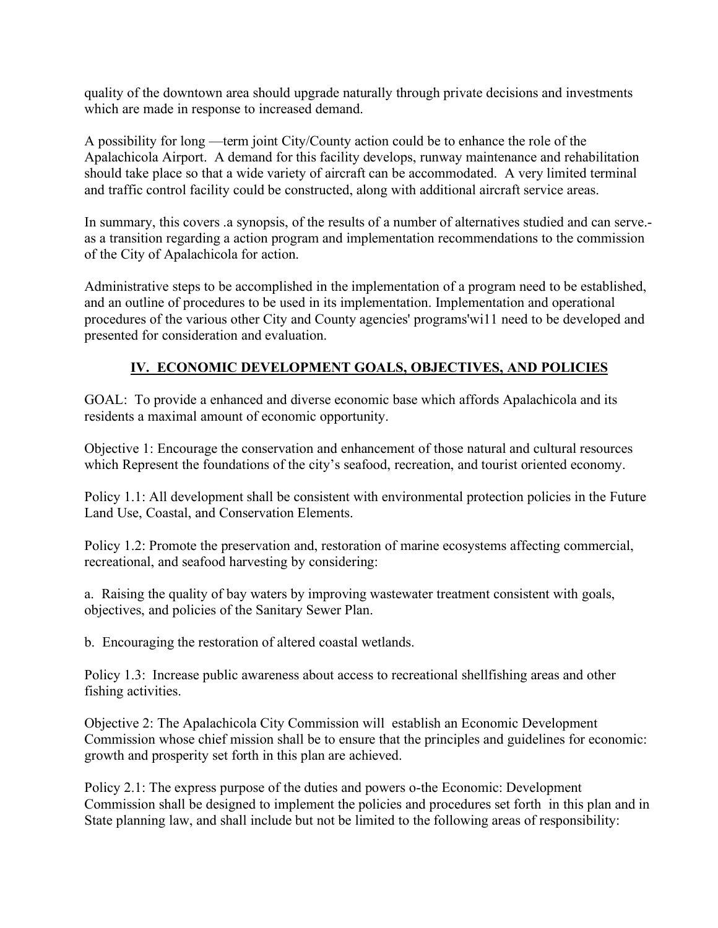quality of the downtown area should upgrade naturally through private decisions and investments which are made in response to increased demand.

A possibility for long —term joint City/County action could be to enhance the role of the Apalachicola Airport. A demand for this facility develops, runway maintenance and rehabilitation should take place so that a wide variety of aircraft can be accommodated. A very limited terminal and traffic control facility could be constructed, along with additional aircraft service areas.

In summary, this covers .a synopsis, of the results of a number of alternatives studied and can serve. as a transition regarding a action program and implementation recommendations to the commission of the City of Apalachicola for action.

Administrative steps to be accomplished in the implementation of a program need to be established, and an outline of procedures to be used in its implementation. Implementation and operational procedures of the various other City and County agencies' programs'wi11 need to be developed and presented for consideration and evaluation.

# **IV. ECONOMIC DEVELOPMENT GOALS, OBJECTIVES, AND POLICIES**

GOAL: To provide a enhanced and diverse economic base which affords Apalachicola and its residents a maximal amount of economic opportunity.

Objective 1: Encourage the conservation and enhancement of those natural and cultural resources which Represent the foundations of the city's seafood, recreation, and tourist oriented economy.

Policy 1.1: All development shall be consistent with environmental protection policies in the Future Land Use, Coastal, and Conservation Elements.

Policy 1.2: Promote the preservation and, restoration of marine ecosystems affecting commercial, recreational, and seafood harvesting by considering:

a. Raising the quality of bay waters by improving wastewater treatment consistent with goals, objectives, and policies of the Sanitary Sewer Plan.

b. Encouraging the restoration of altered coastal wetlands.

Policy 1.3: Increase public awareness about access to recreational shellfishing areas and other fishing activities.

Objective 2: The Apalachicola City Commission will establish an Economic Development Commission whose chief mission shall be to ensure that the principles and guidelines for economic: growth and prosperity set forth in this plan are achieved.

Policy 2.1: The express purpose of the duties and powers o-the Economic: Development Commission shall be designed to implement the policies and procedures set forth in this plan and in State planning law, and shall include but not be limited to the following areas of responsibility: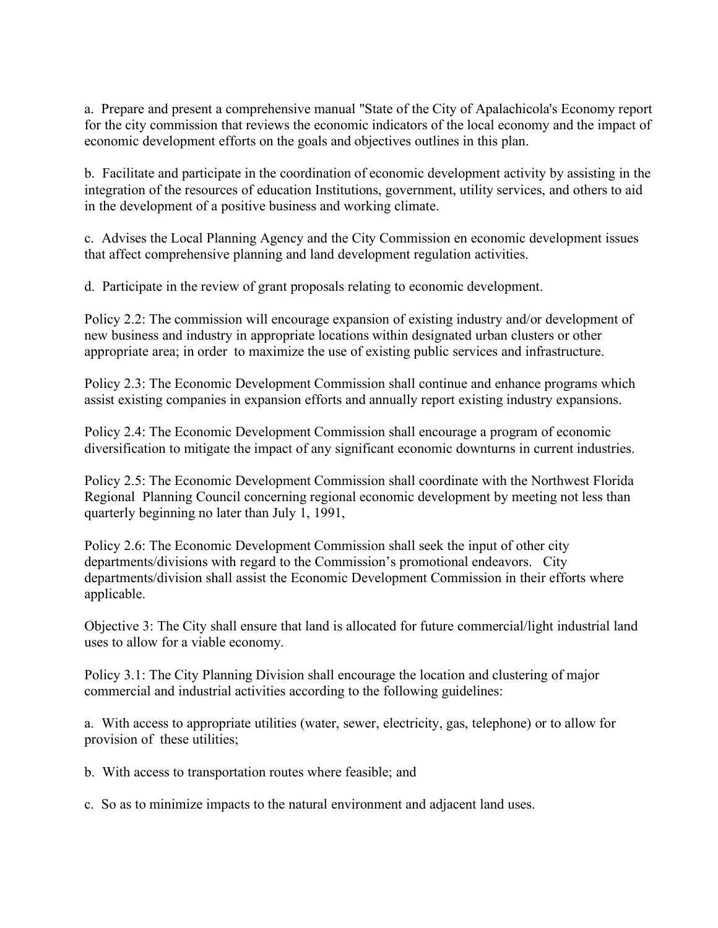a. Prepare and present a comprehensive manual "State of the City of Apalachicola's Economy report for the city commission that reviews the economic indicators of the local economy and the impact of economic development efforts on the goals and objectives outlines in this plan.

b. Facilitate and participate in the coordination of economic development activity by assisting in the integration of the resources of education Institutions, government, utility services, and others to aid in the development of a positive business and working climate.

c. Advises the Local Planning Agency and the City Commission en economic development issues that affect comprehensive planning and land development regulation activities.

d. Participate in the review of grant proposals relating to economic development.

Policy 2.2: The commission will encourage expansion of existing industry and/or development of new business and industry in appropriate locations within designated urban clusters or other appropriate area; in order to maximize the use of existing public services and infrastructure.

Policy 2.3: The Economic Development Commission shall continue and enhance programs which assist existing companies in expansion efforts and annually report existing industry expansions.

Policy 2.4: The Economic Development Commission shall encourage a program of economic diversification to mitigate the impact of any significant economic downturns in current industries.

Policy 2.5: The Economic Development Commission shall coordinate with the Northwest Florida Regional Planning Council concerning regional economic development by meeting not less than quarterly beginning no later than July 1, 1991,

Policy 2.6: The Economic Development Commission shall seek the input of other city departments/divisions with regard to the Commission's promotional endeavors. City departments/division shall assist the Economic Development Commission in their efforts where applicable.

Objective 3: The City shall ensure that land is allocated for future commercial/light industrial land uses to allow for a viable economy.

Policy 3.1: The City Planning Division shall encourage the location and clustering of major commercial and industrial activities according to the following guidelines:

a. With access to appropriate utilities (water, sewer, electricity, gas, telephone) or to allow for provision of these utilities;

b. With access to transportation routes where feasible; and

c. So as to minimize impacts to the natural environment and adjacent land uses.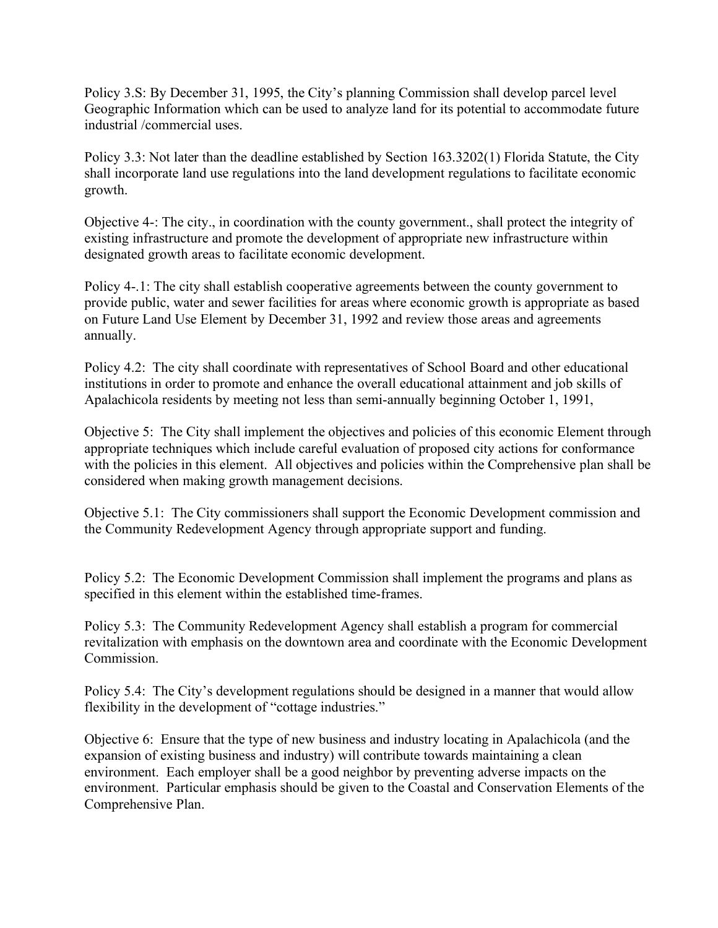Policy 3.S: By December 31, 1995, the City's planning Commission shall develop parcel level Geographic Information which can be used to analyze land for its potential to accommodate future industrial /commercial uses.

Policy 3.3: Not later than the deadline established by Section 163.3202(1) Florida Statute, the City shall incorporate land use regulations into the land development regulations to facilitate economic growth.

Objective 4-: The city., in coordination with the county government., shall protect the integrity of existing infrastructure and promote the development of appropriate new infrastructure within designated growth areas to facilitate economic development.

Policy 4-.1: The city shall establish cooperative agreements between the county government to provide public, water and sewer facilities for areas where economic growth is appropriate as based on Future Land Use Element by December 31, 1992 and review those areas and agreements annually.

Policy 4.2: The city shall coordinate with representatives of School Board and other educational institutions in order to promote and enhance the overall educational attainment and job skills of Apalachicola residents by meeting not less than semi-annually beginning October 1, 1991,

Objective 5: The City shall implement the objectives and policies of this economic Element through appropriate techniques which include careful evaluation of proposed city actions for conformance with the policies in this element. All objectives and policies within the Comprehensive plan shall be considered when making growth management decisions.

Objective 5.1: The City commissioners shall support the Economic Development commission and the Community Redevelopment Agency through appropriate support and funding.

Policy 5.2: The Economic Development Commission shall implement the programs and plans as specified in this element within the established time-frames.

Policy 5.3: The Community Redevelopment Agency shall establish a program for commercial revitalization with emphasis on the downtown area and coordinate with the Economic Development Commission.

Policy 5.4: The City's development regulations should be designed in a manner that would allow flexibility in the development of "cottage industries."

Objective 6: Ensure that the type of new business and industry locating in Apalachicola (and the expansion of existing business and industry) will contribute towards maintaining a clean environment. Each employer shall be a good neighbor by preventing adverse impacts on the environment. Particular emphasis should be given to the Coastal and Conservation Elements of the Comprehensive Plan.